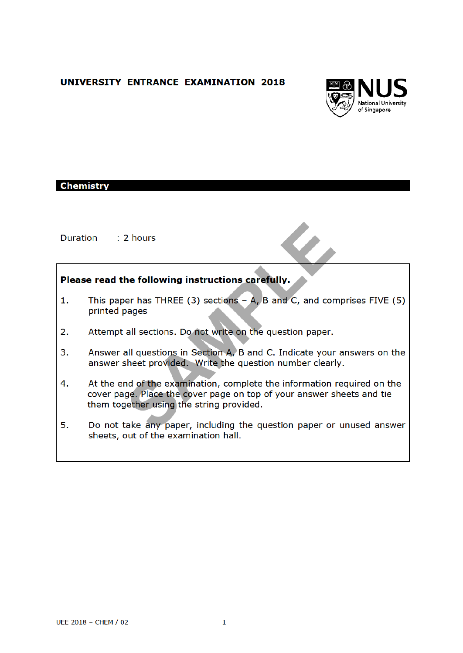# UNIVERSITY ENTRANCE EXAMINATION 2018



### **Chemistry**

 $: 2$  hours Duration

## Please read the following instructions carefully.

- 1. This paper has THREE  $(3)$  sections  $- A$ , B and C, and comprises FIVE  $(5)$ printed pages
- Attempt all sections. Do not write on the question paper.  $2.$
- $3<sub>1</sub>$ Answer all questions in Section A, B and C. Indicate your answers on the answer sheet provided. Write the question number clearly.
- 4. At the end of the examination, complete the information required on the cover page. Place the cover page on top of your answer sheets and tie them together using the string provided.
- $5.$ Do not take any paper, including the question paper or unused answer sheets, out of the examination hall.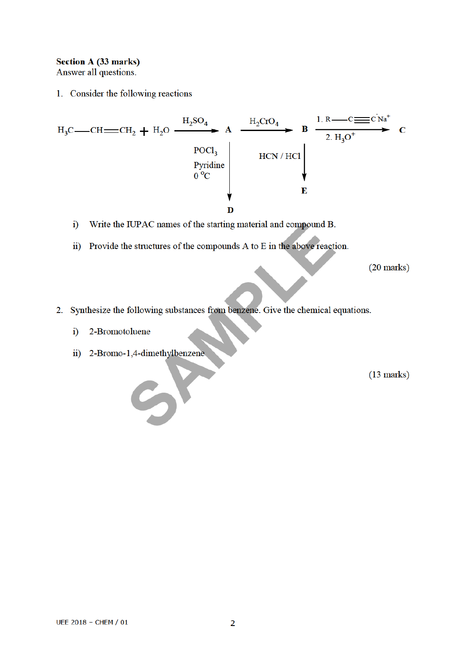## **Section A (33 marks)**

Answer all questions.

1. Consider the following reactions

$$
H_3C \longrightarrow CH \longrightarrow CH_2 + H_2O \xrightarrow{H_2SO_4} A \xrightarrow{H_2CrO_4} B \xrightarrow{1. R \longrightarrow C \longrightarrow C \text{Na}^+} C
$$
  
\n
$$
\longrightarrow^{\text{POC1}_3} HCN / HCl
$$
  
\n
$$
0^{\circ}C
$$
  
\n
$$
R
$$
  
\n
$$
HCN / HCl
$$
  
\n
$$
E
$$

- Write the IUPAC names of the starting material and compound B.  $i)$
- ii) Provide the structures of the compounds A to E in the above reaction.

 $(20 \text{ marks})$ 

- 2. Synthesize the following substances from benzene. Give the chemical equations.
	- 2-Bromotoluene  $\ddot{i}$
	- ii) 2-Bromo-1,4-dimethylbenzene

 $(13 \text{ marks})$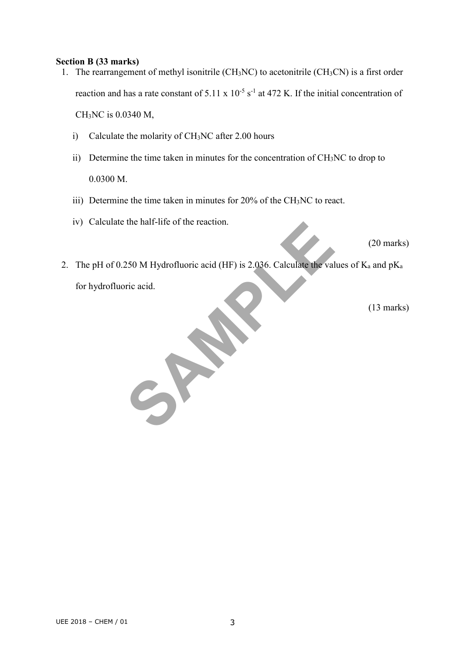#### **Section B (33 marks)**

- 1. The rearrangement of methyl isonitrile  $(CH_3NC)$  to acetonitrile  $(CH_3CN)$  is a first order reaction and has a rate constant of 5.11 x  $10^{-5}$  s<sup>-1</sup> at 472 K. If the initial concentration of CH3NC is 0.0340 M,
	- i) Calculate the molarity of CH3NC after 2.00 hours
	- ii) Determine the time taken in minutes for the concentration of CH3NC to drop to 0.0300 M.
	- iii) Determine the time taken in minutes for 20% of the CH3NC to react.
	- iv) Calculate the half-life of the reaction.

(20 marks)

the nair-life of the reaction.<br>250 M Hydrofluoric acid (HF) is 2.036. Calculate the value<br>ric acid. 2. The pH of 0.250 M Hydrofluoric acid (HF) is 2.036. Calculate the values of  $K_a$  and  $pK_a$ for hydrofluoric acid.

(13 marks)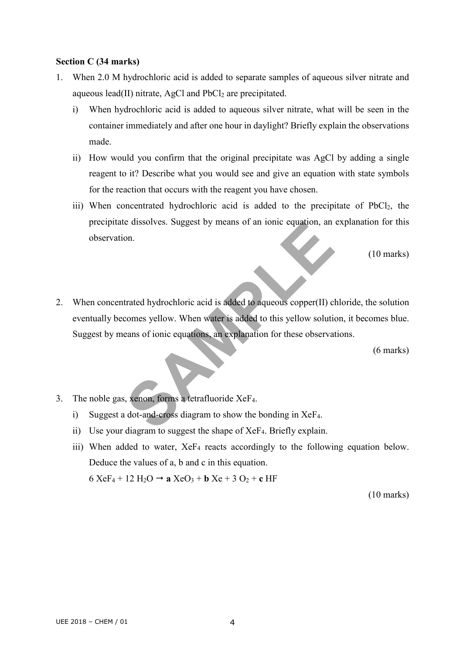### **Section C (34 marks)**

- 1. When 2.0 M hydrochloric acid is added to separate samples of aqueous silver nitrate and aqueous lead(II) nitrate, AgCl and  $PbCl<sub>2</sub>$  are precipitated.
	- i) When hydrochloric acid is added to aqueous silver nitrate, what will be seen in the container immediately and after one hour in daylight? Briefly explain the observations made.
	- ii) How would you confirm that the original precipitate was AgCl by adding a single reagent to it? Describe what you would see and give an equation with state symbols for the reaction that occurs with the reagent you have chosen.
	- iii) When concentrated hydrochloric acid is added to the precipitate of PbCl2, the precipitate dissolves. Suggest by means of an ionic equation, an explanation for this observation.

(10 marks)

Exercises. Suggest by means of an ionic equation, an<br>on.<br>trated hydrochloric acid is added to aqueous copper(II) cl<br>comes yellow. When water is added to this yellow solution<br>eans of ionic equations, an explanation for thes 2. When concentrated hydrochloric acid is added to aqueous copper(II) chloride, the solution eventually becomes yellow. When water is added to this yellow solution, it becomes blue. Suggest by means of ionic equations, an explanation for these observations.

(6 marks)

- 3. The noble gas, xenon, forms a tetrafluoride XeF4.
	- i) Suggest a dot-and-cross diagram to show the bonding in XeF4.
	- ii) Use your diagram to suggest the shape of XeF4. Briefly explain.
	- iii) When added to water,  $XeF_4$  reacts accordingly to the following equation below. Deduce the values of a, b and c in this equation.  $6 XeF_4 + 12 H_2O \rightarrow a XeO_3 + b Xe + 3 O_2 + c HF$

(10 marks)